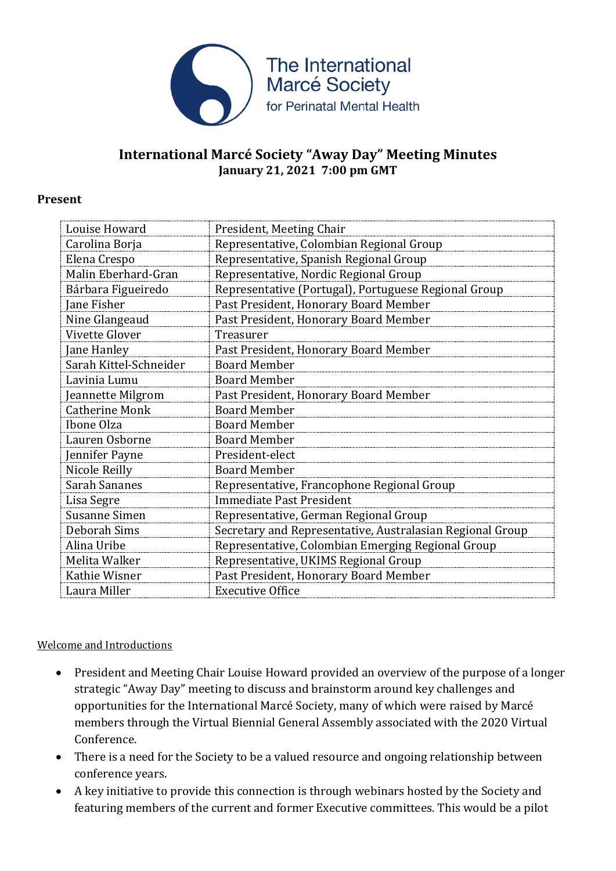

## **International Marcé Society "Away Day" Meeting Minutes January 21, 2021 7:00 pm GMT**

#### **Present**

| Louise Howard          | President, Meeting Chair                                  |
|------------------------|-----------------------------------------------------------|
| Carolina Borja         | Representative, Colombian Regional Group                  |
| Elena Crespo           | Representative, Spanish Regional Group                    |
| Malin Eberhard-Gran    | Representative, Nordic Regional Group                     |
| Bárbara Figueiredo     | Representative (Portugal), Portuguese Regional Group      |
| Jane Fisher            | Past President, Honorary Board Member                     |
| Nine Glangeaud         | Past President, Honorary Board Member                     |
| Vivette Glover         | Treasurer                                                 |
| Jane Hanley            | Past President, Honorary Board Member                     |
| Sarah Kittel-Schneider | <b>Board Member</b>                                       |
| Lavinia Lumu           | <b>Board Member</b>                                       |
| Jeannette Milgrom      | Past President, Honorary Board Member                     |
| <b>Catherine Monk</b>  | <b>Board Member</b>                                       |
| Ibone Olza             | <b>Board Member</b>                                       |
| Lauren Osborne         | <b>Board Member</b>                                       |
| Jennifer Payne         | President-elect                                           |
| Nicole Reilly          | <b>Board Member</b>                                       |
| <b>Sarah Sananes</b>   | Representative, Francophone Regional Group                |
| Lisa Segre             | <b>Immediate Past President</b>                           |
| <b>Susanne Simen</b>   | Representative, German Regional Group                     |
| Deborah Sims           | Secretary and Representative, Australasian Regional Group |
| Alina Uribe            | Representative, Colombian Emerging Regional Group         |
| Melita Walker          | Representative, UKIMS Regional Group                      |
| Kathie Wisner          | Past President, Honorary Board Member                     |
| Laura Miller           | <b>Executive Office</b>                                   |

### Welcome and Introductions

- President and Meeting Chair Louise Howard provided an overview of the purpose of a longer strategic "Away Day" meeting to discuss and brainstorm around key challenges and opportunities for the International Marcé Society, many of which were raised by Marcé members through the Virtual Biennial General Assembly associated with the 2020 Virtual Conference.
- There is a need for the Society to be a valued resource and ongoing relationship between conference years.
- A key initiative to provide this connection is through webinars hosted by the Society and featuring members of the current and former Executive committees. This would be a pilot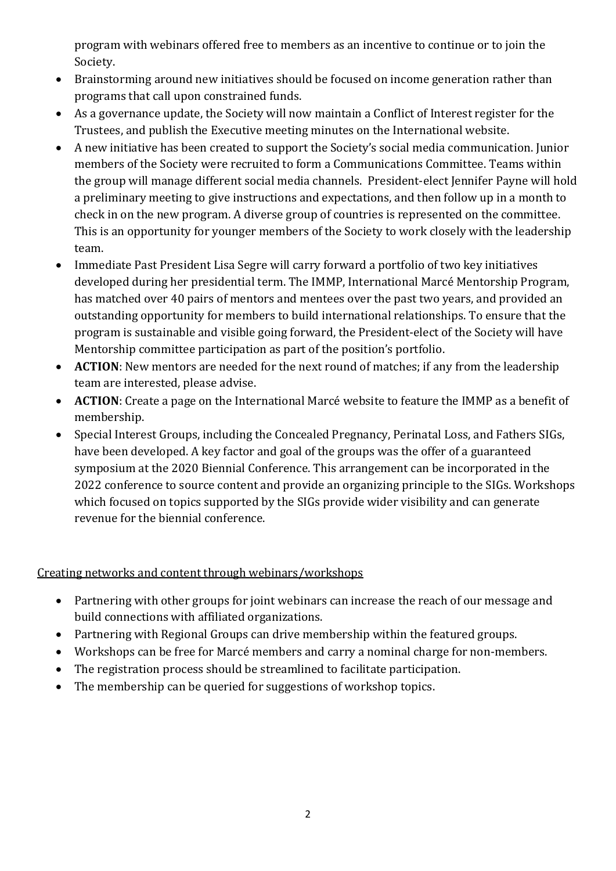program with webinars offered free to members as an incentive to continue or to join the Society.

- Brainstorming around new initiatives should be focused on income generation rather than programs that call upon constrained funds.
- As a governance update, the Society will now maintain a Conflict of Interest register for the Trustees, and publish the Executive meeting minutes on the International website.
- A new initiative has been created to support the Society's social media communication. Junior members of the Society were recruited to form a Communications Committee. Teams within the group will manage different social media channels. President-elect Jennifer Payne will hold a preliminary meeting to give instructions and expectations, and then follow up in a month to check in on the new program. A diverse group of countries is represented on the committee. This is an opportunity for younger members of the Society to work closely with the leadership team.
- Immediate Past President Lisa Segre will carry forward a portfolio of two key initiatives developed during her presidential term. The IMMP, International Marcé Mentorship Program, has matched over 40 pairs of mentors and mentees over the past two years, and provided an outstanding opportunity for members to build international relationships. To ensure that the program is sustainable and visible going forward, the President-elect of the Society will have Mentorship committee participation as part of the position's portfolio.
- **ACTION**: New mentors are needed for the next round of matches; if any from the leadership team are interested, please advise.
- **ACTION**: Create a page on the International Marcé website to feature the IMMP as a benefit of membership.
- Special Interest Groups, including the Concealed Pregnancy, Perinatal Loss, and Fathers SIGs, have been developed. A key factor and goal of the groups was the offer of a guaranteed symposium at the 2020 Biennial Conference. This arrangement can be incorporated in the 2022 conference to source content and provide an organizing principle to the SIGs. Workshops which focused on topics supported by the SIGs provide wider visibility and can generate revenue for the biennial conference.

## Creating networks and content through webinars/workshops

- Partnering with other groups for joint webinars can increase the reach of our message and build connections with affiliated organizations.
- Partnering with Regional Groups can drive membership within the featured groups.
- Workshops can be free for Marcé members and carry a nominal charge for non-members.
- The registration process should be streamlined to facilitate participation.
- The membership can be queried for suggestions of workshop topics.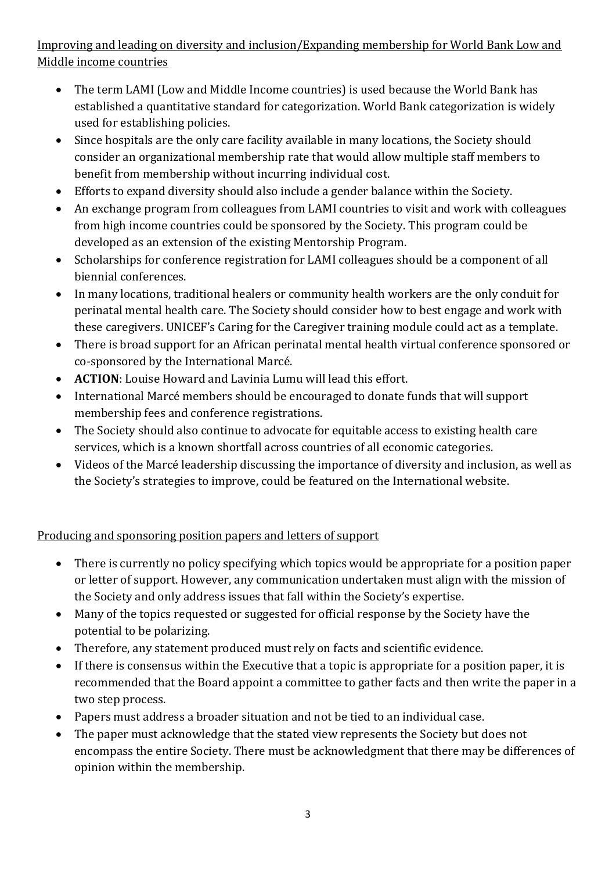# Improving and leading on diversity and inclusion/Expanding membership for World Bank Low and Middle income countries

- The term LAMI (Low and Middle Income countries) is used because the World Bank has established a quantitative standard for categorization. World Bank categorization is widely used for establishing policies.
- Since hospitals are the only care facility available in many locations, the Society should consider an organizational membership rate that would allow multiple staff members to benefit from membership without incurring individual cost.
- Efforts to expand diversity should also include a gender balance within the Society.
- An exchange program from colleagues from LAMI countries to visit and work with colleagues from high income countries could be sponsored by the Society. This program could be developed as an extension of the existing Mentorship Program.
- Scholarships for conference registration for LAMI colleagues should be a component of all biennial conferences.
- In many locations, traditional healers or community health workers are the only conduit for perinatal mental health care. The Society should consider how to best engage and work with these caregivers. UNICEF's Caring for the Caregiver training module could act as a template.
- There is broad support for an African perinatal mental health virtual conference sponsored or co-sponsored by the International Marcé.
- **ACTION**: Louise Howard and Lavinia Lumu will lead this effort.
- International Marcé members should be encouraged to donate funds that will support membership fees and conference registrations.
- The Society should also continue to advocate for equitable access to existing health care services, which is a known shortfall across countries of all economic categories.
- Videos of the Marcé leadership discussing the importance of diversity and inclusion, as well as the Society's strategies to improve, could be featured on the International website.

## Producing and sponsoring position papers and letters of support

- There is currently no policy specifying which topics would be appropriate for a position paper or letter of support. However, any communication undertaken must align with the mission of the Society and only address issues that fall within the Society's expertise.
- Many of the topics requested or suggested for official response by the Society have the potential to be polarizing.
- Therefore, any statement produced must rely on facts and scientific evidence.
- If there is consensus within the Executive that a topic is appropriate for a position paper, it is recommended that the Board appoint a committee to gather facts and then write the paper in a two step process.
- Papers must address a broader situation and not be tied to an individual case.
- The paper must acknowledge that the stated view represents the Society but does not encompass the entire Society. There must be acknowledgment that there may be differences of opinion within the membership.